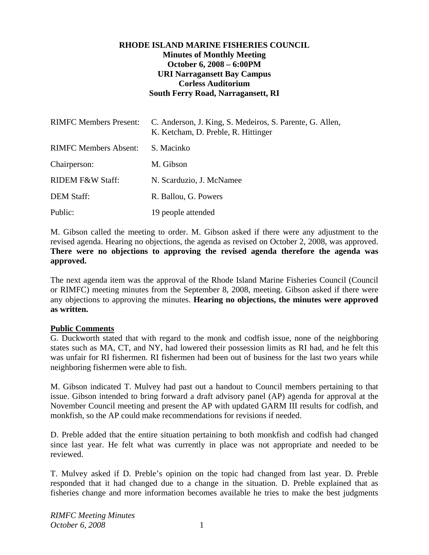# **RHODE ISLAND MARINE FISHERIES COUNCIL Minutes of Monthly Meeting October 6, 2008 – 6:00PM URI Narragansett Bay Campus Corless Auditorium South Ferry Road, Narragansett, RI**

| <b>RIMFC Members Present:</b> | C. Anderson, J. King, S. Medeiros, S. Parente, G. Allen,<br>K. Ketcham, D. Preble, R. Hittinger |
|-------------------------------|-------------------------------------------------------------------------------------------------|
| <b>RIMFC Members Absent:</b>  | S. Macinko                                                                                      |
| Chairperson:                  | M. Gibson                                                                                       |
| <b>RIDEM F&amp;W Staff:</b>   | N. Scarduzio, J. McNamee                                                                        |
| <b>DEM Staff:</b>             | R. Ballou, G. Powers                                                                            |
| Public:                       | 19 people attended                                                                              |

M. Gibson called the meeting to order. M. Gibson asked if there were any adjustment to the revised agenda. Hearing no objections, the agenda as revised on October 2, 2008, was approved. **There were no objections to approving the revised agenda therefore the agenda was approved.**

The next agenda item was the approval of the Rhode Island Marine Fisheries Council (Council or RIMFC) meeting minutes from the September 8, 2008, meeting. Gibson asked if there were any objections to approving the minutes. **Hearing no objections, the minutes were approved as written.** 

#### **Public Comments**

G. Duckworth stated that with regard to the monk and codfish issue, none of the neighboring states such as MA, CT, and NY, had lowered their possession limits as RI had, and he felt this was unfair for RI fishermen. RI fishermen had been out of business for the last two years while neighboring fishermen were able to fish.

M. Gibson indicated T. Mulvey had past out a handout to Council members pertaining to that issue. Gibson intended to bring forward a draft advisory panel (AP) agenda for approval at the November Council meeting and present the AP with updated GARM III results for codfish, and monkfish, so the AP could make recommendations for revisions if needed.

D. Preble added that the entire situation pertaining to both monkfish and codfish had changed since last year. He felt what was currently in place was not appropriate and needed to be reviewed.

T. Mulvey asked if D. Preble's opinion on the topic had changed from last year. D. Preble responded that it had changed due to a change in the situation. D. Preble explained that as fisheries change and more information becomes available he tries to make the best judgments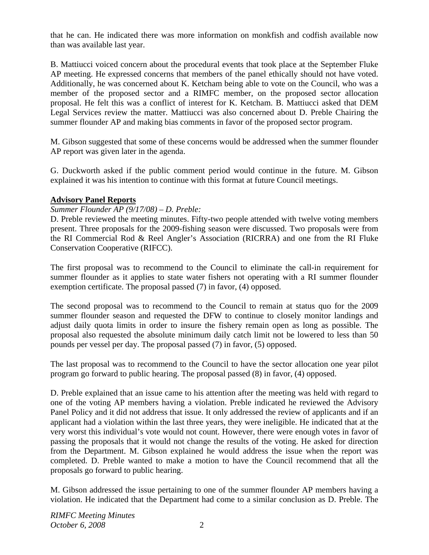that he can. He indicated there was more information on monkfish and codfish available now than was available last year.

B. Mattiucci voiced concern about the procedural events that took place at the September Fluke AP meeting. He expressed concerns that members of the panel ethically should not have voted. Additionally, he was concerned about K. Ketcham being able to vote on the Council, who was a member of the proposed sector and a RIMFC member, on the proposed sector allocation proposal. He felt this was a conflict of interest for K. Ketcham. B. Mattiucci asked that DEM Legal Services review the matter. Mattiucci was also concerned about D. Preble Chairing the summer flounder AP and making bias comments in favor of the proposed sector program.

M. Gibson suggested that some of these concerns would be addressed when the summer flounder AP report was given later in the agenda.

G. Duckworth asked if the public comment period would continue in the future. M. Gibson explained it was his intention to continue with this format at future Council meetings.

# **Advisory Panel Reports**

### *Summer Flounder AP (9/17/08) – D. Preble:*

D. Preble reviewed the meeting minutes. Fifty-two people attended with twelve voting members present. Three proposals for the 2009-fishing season were discussed. Two proposals were from the RI Commercial Rod & Reel Angler's Association (RICRRA) and one from the RI Fluke Conservation Cooperative (RIFCC).

The first proposal was to recommend to the Council to eliminate the call-in requirement for summer flounder as it applies to state water fishers not operating with a RI summer flounder exemption certificate. The proposal passed (7) in favor, (4) opposed.

The second proposal was to recommend to the Council to remain at status quo for the 2009 summer flounder season and requested the DFW to continue to closely monitor landings and adjust daily quota limits in order to insure the fishery remain open as long as possible. The proposal also requested the absolute minimum daily catch limit not be lowered to less than 50 pounds per vessel per day. The proposal passed (7) in favor, (5) opposed.

The last proposal was to recommend to the Council to have the sector allocation one year pilot program go forward to public hearing. The proposal passed (8) in favor, (4) opposed.

D. Preble explained that an issue came to his attention after the meeting was held with regard to one of the voting AP members having a violation. Preble indicated he reviewed the Advisory Panel Policy and it did not address that issue. It only addressed the review of applicants and if an applicant had a violation within the last three years, they were ineligible. He indicated that at the very worst this individual's vote would not count. However, there were enough votes in favor of passing the proposals that it would not change the results of the voting. He asked for direction from the Department. M. Gibson explained he would address the issue when the report was completed. D. Preble wanted to make a motion to have the Council recommend that all the proposals go forward to public hearing.

M. Gibson addressed the issue pertaining to one of the summer flounder AP members having a violation. He indicated that the Department had come to a similar conclusion as D. Preble. The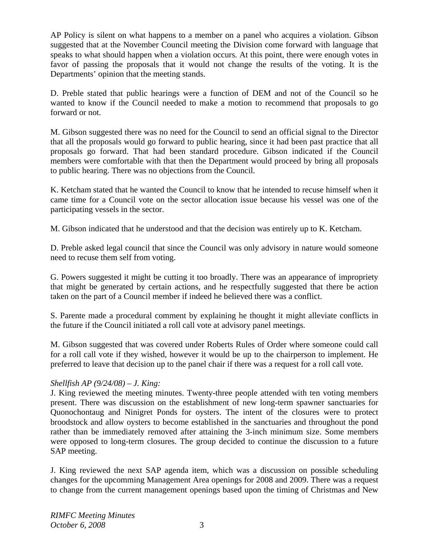AP Policy is silent on what happens to a member on a panel who acquires a violation. Gibson suggested that at the November Council meeting the Division come forward with language that speaks to what should happen when a violation occurs. At this point, there were enough votes in favor of passing the proposals that it would not change the results of the voting. It is the Departments' opinion that the meeting stands.

D. Preble stated that public hearings were a function of DEM and not of the Council so he wanted to know if the Council needed to make a motion to recommend that proposals to go forward or not.

M. Gibson suggested there was no need for the Council to send an official signal to the Director that all the proposals would go forward to public hearing, since it had been past practice that all proposals go forward. That had been standard procedure. Gibson indicated if the Council members were comfortable with that then the Department would proceed by bring all proposals to public hearing. There was no objections from the Council.

K. Ketcham stated that he wanted the Council to know that he intended to recuse himself when it came time for a Council vote on the sector allocation issue because his vessel was one of the participating vessels in the sector.

M. Gibson indicated that he understood and that the decision was entirely up to K. Ketcham.

D. Preble asked legal council that since the Council was only advisory in nature would someone need to recuse them self from voting.

G. Powers suggested it might be cutting it too broadly. There was an appearance of impropriety that might be generated by certain actions, and he respectfully suggested that there be action taken on the part of a Council member if indeed he believed there was a conflict.

S. Parente made a procedural comment by explaining he thought it might alleviate conflicts in the future if the Council initiated a roll call vote at advisory panel meetings.

M. Gibson suggested that was covered under Roberts Rules of Order where someone could call for a roll call vote if they wished, however it would be up to the chairperson to implement. He preferred to leave that decision up to the panel chair if there was a request for a roll call vote.

# *Shellfish AP (9/24/08) – J. King:*

J. King reviewed the meeting minutes. Twenty-three people attended with ten voting members present. There was discussion on the establishment of new long-term spawner sanctuaries for Quonochontaug and Ninigret Ponds for oysters. The intent of the closures were to protect broodstock and allow oysters to become established in the sanctuaries and throughout the pond rather than be immediately removed after attaining the 3-inch minimum size. Some members were opposed to long-term closures. The group decided to continue the discussion to a future SAP meeting.

J. King reviewed the next SAP agenda item, which was a discussion on possible scheduling changes for the upcomming Management Area openings for 2008 and 2009. There was a request to change from the current management openings based upon the timing of Christmas and New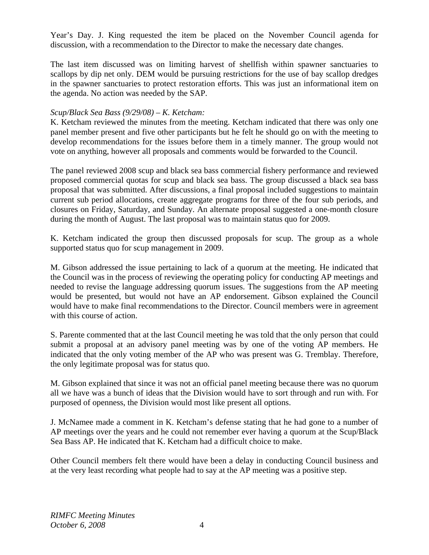Year's Day. J. King requested the item be placed on the November Council agenda for discussion, with a recommendation to the Director to make the necessary date changes.

The last item discussed was on limiting harvest of shellfish within spawner sanctuaries to scallops by dip net only. DEM would be pursuing restrictions for the use of bay scallop dredges in the spawner sanctuaries to protect restoration efforts. This was just an informational item on the agenda. No action was needed by the SAP.

# *Scup/Black Sea Bass (9/29/08) – K. Ketcham:*

K. Ketcham reviewed the minutes from the meeting. Ketcham indicated that there was only one panel member present and five other participants but he felt he should go on with the meeting to develop recommendations for the issues before them in a timely manner. The group would not vote on anything, however all proposals and comments would be forwarded to the Council.

The panel reviewed 2008 scup and black sea bass commercial fishery performance and reviewed proposed commercial quotas for scup and black sea bass. The group discussed a black sea bass proposal that was submitted. After discussions, a final proposal included suggestions to maintain current sub period allocations, create aggregate programs for three of the four sub periods, and closures on Friday, Saturday, and Sunday. An alternate proposal suggested a one-month closure during the month of August. The last proposal was to maintain status quo for 2009.

K. Ketcham indicated the group then discussed proposals for scup. The group as a whole supported status quo for scup management in 2009.

M. Gibson addressed the issue pertaining to lack of a quorum at the meeting. He indicated that the Council was in the process of reviewing the operating policy for conducting AP meetings and needed to revise the language addressing quorum issues. The suggestions from the AP meeting would be presented, but would not have an AP endorsement. Gibson explained the Council would have to make final recommendations to the Director. Council members were in agreement with this course of action.

S. Parente commented that at the last Council meeting he was told that the only person that could submit a proposal at an advisory panel meeting was by one of the voting AP members. He indicated that the only voting member of the AP who was present was G. Tremblay. Therefore, the only legitimate proposal was for status quo.

M. Gibson explained that since it was not an official panel meeting because there was no quorum all we have was a bunch of ideas that the Division would have to sort through and run with. For purposed of openness, the Division would most like present all options.

J. McNamee made a comment in K. Ketcham's defense stating that he had gone to a number of AP meetings over the years and he could not remember ever having a quorum at the Scup/Black Sea Bass AP. He indicated that K. Ketcham had a difficult choice to make.

Other Council members felt there would have been a delay in conducting Council business and at the very least recording what people had to say at the AP meeting was a positive step.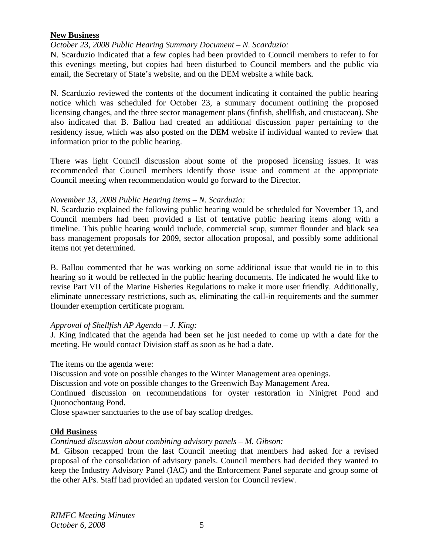#### **New Business**

### *October 23, 2008 Public Hearing Summary Document – N. Scarduzio:*

N. Scarduzio indicated that a few copies had been provided to Council members to refer to for this evenings meeting, but copies had been disturbed to Council members and the public via email, the Secretary of State's website, and on the DEM website a while back.

N. Scarduzio reviewed the contents of the document indicating it contained the public hearing notice which was scheduled for October 23, a summary document outlining the proposed licensing changes, and the three sector management plans (finfish, shellfish, and crustacean). She also indicated that B. Ballou had created an additional discussion paper pertaining to the residency issue, which was also posted on the DEM website if individual wanted to review that information prior to the public hearing.

There was light Council discussion about some of the proposed licensing issues. It was recommended that Council members identify those issue and comment at the appropriate Council meeting when recommendation would go forward to the Director.

### *November 13, 2008 Public Hearing items – N. Scarduzio:*

N. Scarduzio explained the following public hearing would be scheduled for November 13, and Council members had been provided a list of tentative public hearing items along with a timeline. This public hearing would include, commercial scup, summer flounder and black sea bass management proposals for 2009, sector allocation proposal, and possibly some additional items not yet determined.

B. Ballou commented that he was working on some additional issue that would tie in to this hearing so it would be reflected in the public hearing documents. He indicated he would like to revise Part VII of the Marine Fisheries Regulations to make it more user friendly. Additionally, eliminate unnecessary restrictions, such as, eliminating the call-in requirements and the summer flounder exemption certificate program.

# *Approval of Shellfish AP Agenda – J. King:*

J. King indicated that the agenda had been set he just needed to come up with a date for the meeting. He would contact Division staff as soon as he had a date.

The items on the agenda were:

Discussion and vote on possible changes to the Winter Management area openings.

Discussion and vote on possible changes to the Greenwich Bay Management Area.

Continued discussion on recommendations for oyster restoration in Ninigret Pond and Quonochontaug Pond.

Close spawner sanctuaries to the use of bay scallop dredges.

# **Old Business**

*Continued discussion about combining advisory panels – M. Gibson:* 

M. Gibson recapped from the last Council meeting that members had asked for a revised proposal of the consolidation of advisory panels. Council members had decided they wanted to keep the Industry Advisory Panel (IAC) and the Enforcement Panel separate and group some of the other APs. Staff had provided an updated version for Council review.